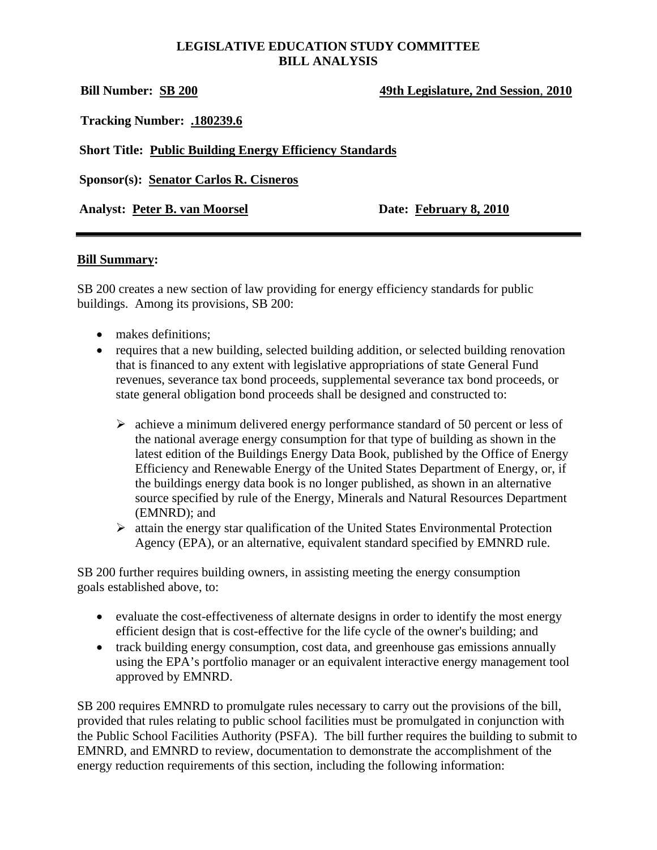#### **LEGISLATIVE EDUCATION STUDY COMMITTEE BILL ANALYSIS**

**Bill Number: SB 200 49th Legislature, 2nd Session**, **2010**

**Tracking Number: .180239.6**

**Short Title: Public Building Energy Efficiency Standards**

**Sponsor(s): Senator Carlos R. Cisneros**

Analyst: Peter B. van Moorsel Date: February 8, 2010

#### **Bill Summary:**

SB 200 creates a new section of law providing for energy efficiency standards for public buildings. Among its provisions, SB 200:

- makes definitions;
- requires that a new building, selected building addition, or selected building renovation that is financed to any extent with legislative appropriations of state General Fund revenues, severance tax bond proceeds, supplemental severance tax bond proceeds, or state general obligation bond proceeds shall be designed and constructed to:
	- $\triangleright$  achieve a minimum delivered energy performance standard of 50 percent or less of the national average energy consumption for that type of building as shown in the latest edition of the Buildings Energy Data Book, published by the Office of Energy Efficiency and Renewable Energy of the United States Department of Energy, or, if the buildings energy data book is no longer published, as shown in an alternative source specified by rule of the Energy, Minerals and Natural Resources Department (EMNRD); and
	- $\triangleright$  attain the energy star qualification of the United States Environmental Protection Agency (EPA), or an alternative, equivalent standard specified by EMNRD rule.

SB 200 further requires building owners, in assisting meeting the energy consumption goals established above, to:

- evaluate the cost-effectiveness of alternate designs in order to identify the most energy efficient design that is cost-effective for the life cycle of the owner's building; and
- track building energy consumption, cost data, and greenhouse gas emissions annually using the EPA's portfolio manager or an equivalent interactive energy management tool approved by EMNRD.

SB 200 requires EMNRD to promulgate rules necessary to carry out the provisions of the bill, provided that rules relating to public school facilities must be promulgated in conjunction with the Public School Facilities Authority (PSFA). The bill further requires the building to submit to EMNRD, and EMNRD to review, documentation to demonstrate the accomplishment of the energy reduction requirements of this section, including the following information: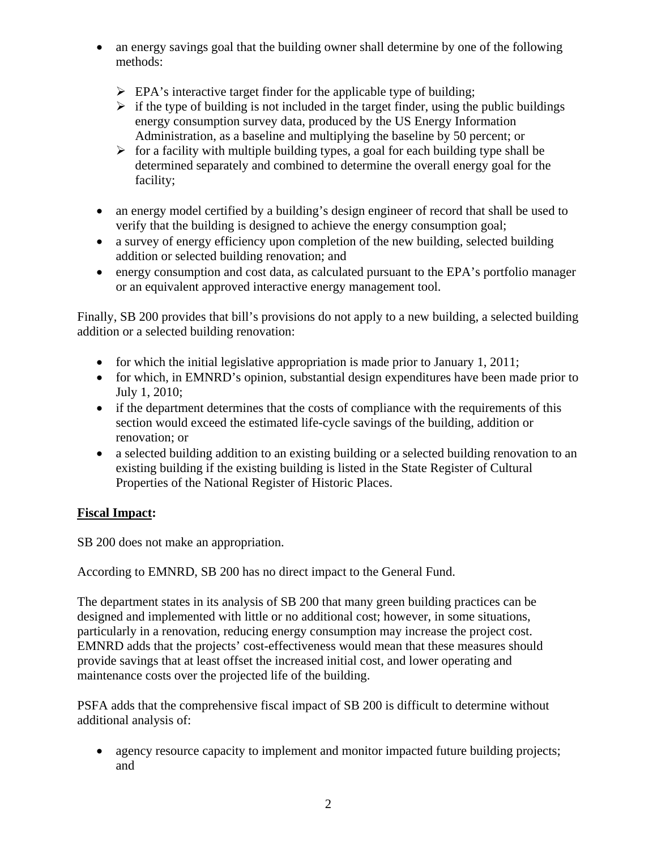- an energy savings goal that the building owner shall determine by one of the following methods:
	- $\triangleright$  EPA's interactive target finder for the applicable type of building;
	- $\triangleright$  if the type of building is not included in the target finder, using the public buildings energy consumption survey data, produced by the US Energy Information Administration, as a baseline and multiplying the baseline by 50 percent; or
	- $\triangleright$  for a facility with multiple building types, a goal for each building type shall be determined separately and combined to determine the overall energy goal for the facility;
- an energy model certified by a building's design engineer of record that shall be used to verify that the building is designed to achieve the energy consumption goal;
- a survey of energy efficiency upon completion of the new building, selected building addition or selected building renovation; and
- energy consumption and cost data, as calculated pursuant to the EPA's portfolio manager or an equivalent approved interactive energy management tool.

Finally, SB 200 provides that bill's provisions do not apply to a new building, a selected building addition or a selected building renovation:

- for which the initial legislative appropriation is made prior to January 1, 2011;
- for which, in EMNRD's opinion, substantial design expenditures have been made prior to July 1, 2010;
- if the department determines that the costs of compliance with the requirements of this section would exceed the estimated life-cycle savings of the building, addition or renovation; or
- a selected building addition to an existing building or a selected building renovation to an existing building if the existing building is listed in the State Register of Cultural Properties of the National Register of Historic Places.

# **Fiscal Impact:**

SB 200 does not make an appropriation.

According to EMNRD, SB 200 has no direct impact to the General Fund.

The department states in its analysis of SB 200 that many green building practices can be designed and implemented with little or no additional cost; however, in some situations, particularly in a renovation, reducing energy consumption may increase the project cost. EMNRD adds that the projects' cost-effectiveness would mean that these measures should provide savings that at least offset the increased initial cost, and lower operating and maintenance costs over the projected life of the building.

PSFA adds that the comprehensive fiscal impact of SB 200 is difficult to determine without additional analysis of:

• agency resource capacity to implement and monitor impacted future building projects; and